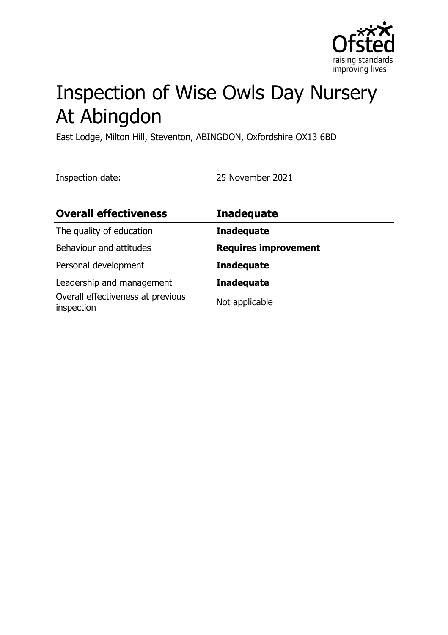

# Inspection of Wise Owls Day Nursery At Abingdon

East Lodge, Milton Hill, Steventon, ABINGDON, Oxfordshire OX13 6BD

Inspection date: 25 November 2021

| <b>Overall effectiveness</b>                                                 | <b>Inadequate</b>                   |
|------------------------------------------------------------------------------|-------------------------------------|
| The quality of education                                                     | <b>Inadequate</b>                   |
| Behaviour and attitudes                                                      | <b>Requires improvement</b>         |
| Personal development                                                         | <b>Inadequate</b>                   |
| Leadership and management<br>Overall effectiveness at previous<br>inspection | <b>Inadequate</b><br>Not applicable |
|                                                                              |                                     |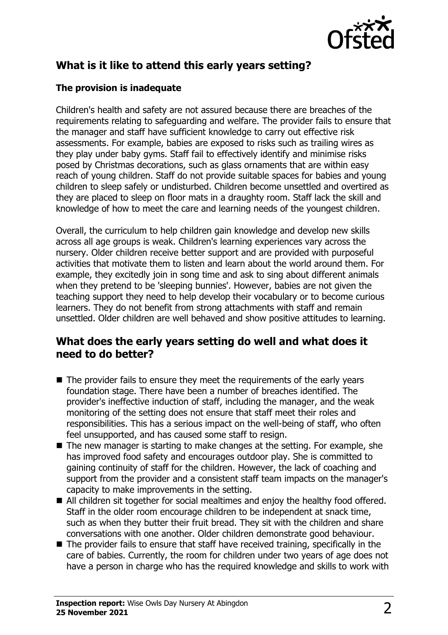

# **What is it like to attend this early years setting?**

## **The provision is inadequate**

Children's health and safety are not assured because there are breaches of the requirements relating to safeguarding and welfare. The provider fails to ensure that the manager and staff have sufficient knowledge to carry out effective risk assessments. For example, babies are exposed to risks such as trailing wires as they play under baby gyms. Staff fail to effectively identify and minimise risks posed by Christmas decorations, such as glass ornaments that are within easy reach of young children. Staff do not provide suitable spaces for babies and young children to sleep safely or undisturbed. Children become unsettled and overtired as they are placed to sleep on floor mats in a draughty room. Staff lack the skill and knowledge of how to meet the care and learning needs of the youngest children.

Overall, the curriculum to help children gain knowledge and develop new skills across all age groups is weak. Children's learning experiences vary across the nursery. Older children receive better support and are provided with purposeful activities that motivate them to listen and learn about the world around them. For example, they excitedly join in song time and ask to sing about different animals when they pretend to be 'sleeping bunnies'. However, babies are not given the teaching support they need to help develop their vocabulary or to become curious learners. They do not benefit from strong attachments with staff and remain unsettled. Older children are well behaved and show positive attitudes to learning.

## **What does the early years setting do well and what does it need to do better?**

- $\blacksquare$  The provider fails to ensure they meet the requirements of the early years foundation stage. There have been a number of breaches identified. The provider's ineffective induction of staff, including the manager, and the weak monitoring of the setting does not ensure that staff meet their roles and responsibilities. This has a serious impact on the well-being of staff, who often feel unsupported, and has caused some staff to resign.
- $\blacksquare$  The new manager is starting to make changes at the setting. For example, she has improved food safety and encourages outdoor play. She is committed to gaining continuity of staff for the children. However, the lack of coaching and support from the provider and a consistent staff team impacts on the manager's capacity to make improvements in the setting.
- All children sit together for social mealtimes and enjoy the healthy food offered. Staff in the older room encourage children to be independent at snack time, such as when they butter their fruit bread. They sit with the children and share conversations with one another. Older children demonstrate good behaviour.
- $\blacksquare$  The provider fails to ensure that staff have received training, specifically in the care of babies. Currently, the room for children under two years of age does not have a person in charge who has the required knowledge and skills to work with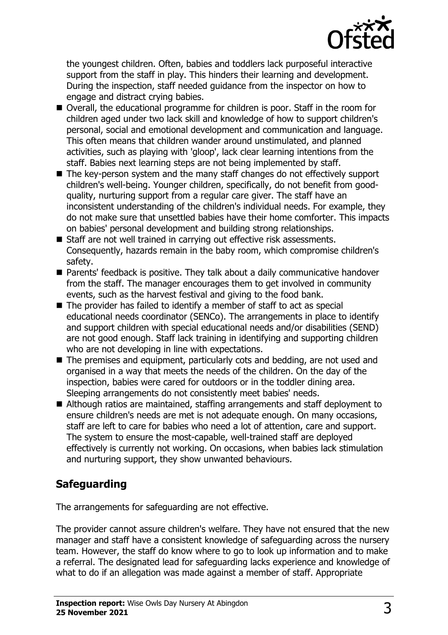

the youngest children. Often, babies and toddlers lack purposeful interactive support from the staff in play. This hinders their learning and development. During the inspection, staff needed guidance from the inspector on how to engage and distract crying babies.

- Overall, the educational programme for children is poor. Staff in the room for children aged under two lack skill and knowledge of how to support children's personal, social and emotional development and communication and language. This often means that children wander around unstimulated, and planned activities, such as playing with 'gloop', lack clear learning intentions from the staff. Babies next learning steps are not being implemented by staff.
- $\blacksquare$  The key-person system and the many staff changes do not effectively support children's well-being. Younger children, specifically, do not benefit from goodquality, nurturing support from a regular care giver. The staff have an inconsistent understanding of the children's individual needs. For example, they do not make sure that unsettled babies have their home comforter. This impacts on babies' personal development and building strong relationships.
- Staff are not well trained in carrying out effective risk assessments. Consequently, hazards remain in the baby room, which compromise children's safety.
- Parents' feedback is positive. They talk about a daily communicative handover from the staff. The manager encourages them to get involved in community events, such as the harvest festival and giving to the food bank.
- $\blacksquare$  The provider has failed to identify a member of staff to act as special educational needs coordinator (SENCo). The arrangements in place to identify and support children with special educational needs and/or disabilities (SEND) are not good enough. Staff lack training in identifying and supporting children who are not developing in line with expectations.
- The premises and equipment, particularly cots and bedding, are not used and organised in a way that meets the needs of the children. On the day of the inspection, babies were cared for outdoors or in the toddler dining area. Sleeping arrangements do not consistently meet babies' needs.
- Although ratios are maintained, staffing arrangements and staff deployment to ensure children's needs are met is not adequate enough. On many occasions, staff are left to care for babies who need a lot of attention, care and support. The system to ensure the most-capable, well-trained staff are deployed effectively is currently not working. On occasions, when babies lack stimulation and nurturing support, they show unwanted behaviours.

# **Safeguarding**

The arrangements for safeguarding are not effective.

The provider cannot assure children's welfare. They have not ensured that the new manager and staff have a consistent knowledge of safeguarding across the nursery team. However, the staff do know where to go to look up information and to make a referral. The designated lead for safeguarding lacks experience and knowledge of what to do if an allegation was made against a member of staff. Appropriate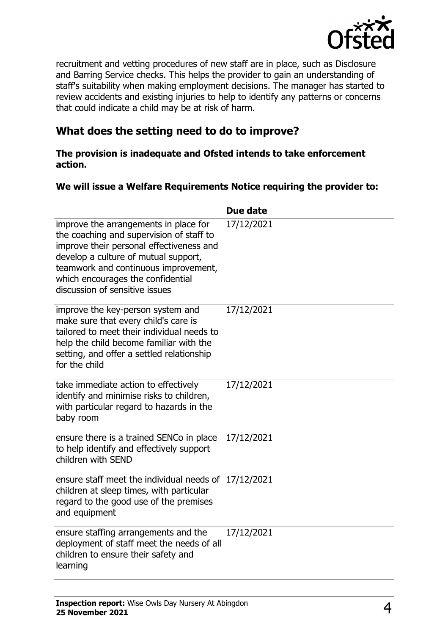

recruitment and vetting procedures of new staff are in place, such as Disclosure and Barring Service checks. This helps the provider to gain an understanding of staff's suitability when making employment decisions. The manager has started to review accidents and existing injuries to help to identify any patterns or concerns that could indicate a child may be at risk of harm.

## **What does the setting need to do to improve?**

#### **The provision is inadequate and Ofsted intends to take enforcement action.**

#### **We will issue a Welfare Requirements Notice requiring the provider to:**

|                                                                                                                                                                                                                                                                                      | Due date   |
|--------------------------------------------------------------------------------------------------------------------------------------------------------------------------------------------------------------------------------------------------------------------------------------|------------|
| improve the arrangements in place for<br>the coaching and supervision of staff to<br>improve their personal effectiveness and<br>develop a culture of mutual support,<br>teamwork and continuous improvement,<br>which encourages the confidential<br>discussion of sensitive issues | 17/12/2021 |
| improve the key-person system and<br>make sure that every child's care is<br>tailored to meet their individual needs to<br>help the child become familiar with the<br>setting, and offer a settled relationship<br>for the child                                                     | 17/12/2021 |
| take immediate action to effectively<br>identify and minimise risks to children,<br>with particular regard to hazards in the<br>baby room                                                                                                                                            | 17/12/2021 |
| ensure there is a trained SENCo in place<br>to help identify and effectively support<br>children with SEND                                                                                                                                                                           | 17/12/2021 |
| ensure staff meet the individual needs of<br>children at sleep times, with particular<br>regard to the good use of the premises<br>and equipment                                                                                                                                     | 17/12/2021 |
| ensure staffing arrangements and the<br>deployment of staff meet the needs of all<br>children to ensure their safety and<br>learning                                                                                                                                                 | 17/12/2021 |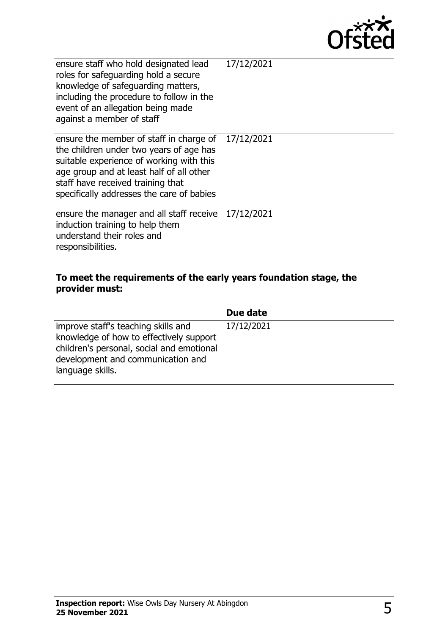

| ensure staff who hold designated lead<br>roles for safeguarding hold a secure<br>knowledge of safeguarding matters,<br>including the procedure to follow in the<br>event of an allegation being made<br>against a member of staff                            | 17/12/2021 |
|--------------------------------------------------------------------------------------------------------------------------------------------------------------------------------------------------------------------------------------------------------------|------------|
| ensure the member of staff in charge of<br>the children under two years of age has<br>suitable experience of working with this<br>age group and at least half of all other<br>staff have received training that<br>specifically addresses the care of babies | 17/12/2021 |
| ensure the manager and all staff receive<br>induction training to help them<br>understand their roles and<br>responsibilities.                                                                                                                               | 17/12/2021 |

## **To meet the requirements of the early years foundation stage, the provider must:**

|                                                                                                                                                                                      | Due date   |
|--------------------------------------------------------------------------------------------------------------------------------------------------------------------------------------|------------|
| improve staff's teaching skills and<br>knowledge of how to effectively support<br>children's personal, social and emotional<br>development and communication and<br>language skills. | 17/12/2021 |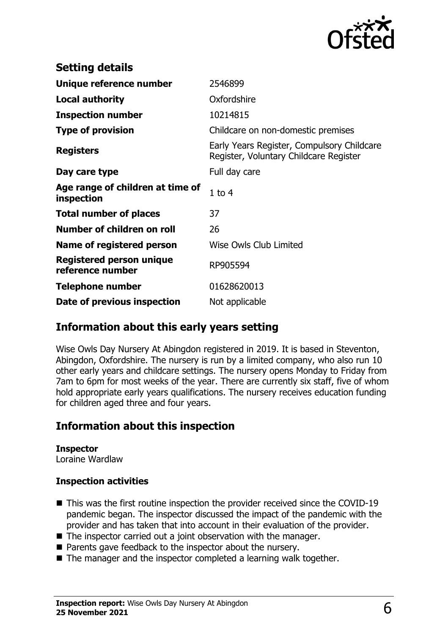

| <b>Setting details</b>                         |                                                                                      |
|------------------------------------------------|--------------------------------------------------------------------------------------|
| Unique reference number                        | 2546899                                                                              |
| <b>Local authority</b>                         | Oxfordshire                                                                          |
| <b>Inspection number</b>                       | 10214815                                                                             |
| <b>Type of provision</b>                       | Childcare on non-domestic premises                                                   |
| <b>Registers</b>                               | Early Years Register, Compulsory Childcare<br>Register, Voluntary Childcare Register |
| Day care type                                  | Full day care                                                                        |
| Age range of children at time of<br>inspection | $1$ to $4$                                                                           |
| <b>Total number of places</b>                  | 37                                                                                   |
| Number of children on roll                     | 26                                                                                   |
| Name of registered person                      | Wise Owls Club Limited                                                               |
| Registered person unique<br>reference number   | RP905594                                                                             |
| Telephone number                               | 01628620013                                                                          |
| Date of previous inspection                    | Not applicable                                                                       |

## **Information about this early years setting**

Wise Owls Day Nursery At Abingdon registered in 2019. It is based in Steventon, Abingdon, Oxfordshire. The nursery is run by a limited company, who also run 10 other early years and childcare settings. The nursery opens Monday to Friday from 7am to 6pm for most weeks of the year. There are currently six staff, five of whom hold appropriate early years qualifications. The nursery receives education funding for children aged three and four years.

## **Information about this inspection**

# **Inspector**

Loraine Wardlaw

### **Inspection activities**

- $\blacksquare$  This was the first routine inspection the provider received since the COVID-19 pandemic began. The inspector discussed the impact of the pandemic with the provider and has taken that into account in their evaluation of the provider.
- $\blacksquare$  The inspector carried out a joint observation with the manager.
- Parents gave feedback to the inspector about the nursery.
- $\blacksquare$  The manager and the inspector completed a learning walk together.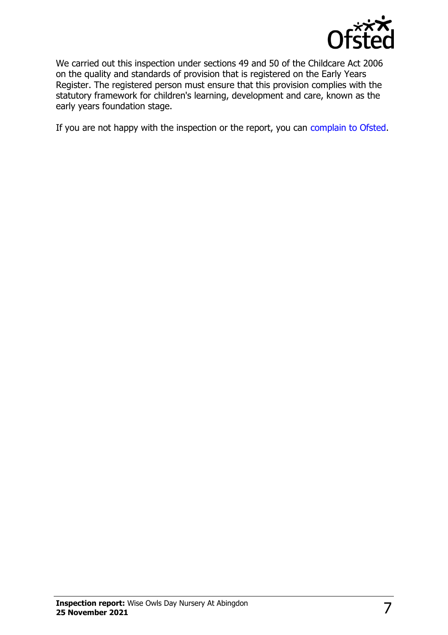

We carried out this inspection under sections 49 and 50 of the Childcare Act 2006 on the quality and standards of provision that is registered on the Early Years Register. The registered person must ensure that this provision complies with the statutory framework for children's learning, development and care, known as the early years foundation stage.

If you are not happy with the inspection or the report, you can [complain to Ofsted](http://www.gov.uk/complain-ofsted-report).